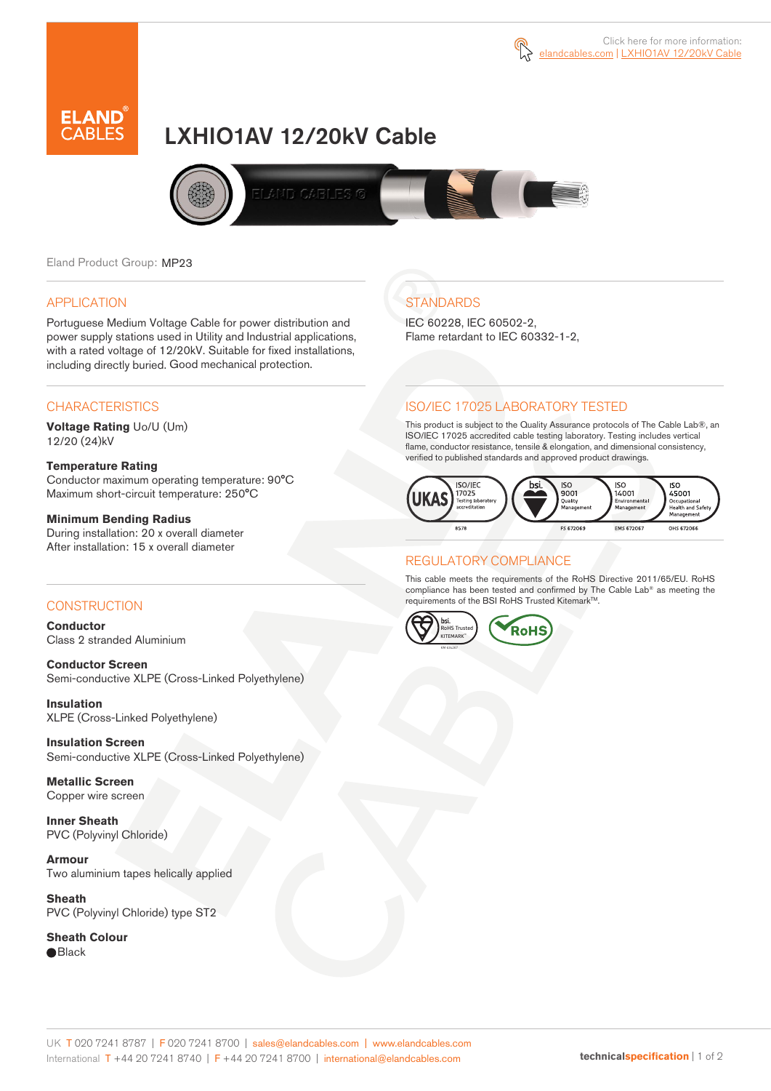



# LXHIO1AV 12/20kV Cable



Eland Product Group: MP23

### APPLICATION

Portuguese Medium Voltage Cable for power distribution and power supply stations used in Utility and Industrial applications, with a rated voltage of 12/20kV. Suitable for fixed installations, including directly buried. Good mechanical protection.

### **CHARACTERISTICS**

**Voltage Rating** Uo/U (Um) 12/20 (24)kV

### **Temperature Rating**

Conductor maximum operating temperature: 90°C Maximum short-circuit temperature: 250°C

### **Minimum Bending Radius**

During installation: 20 x overall diameter After installation: 15 x overall diameter

### **CONSTRUCTION**

**Conductor**  Class 2 stranded Aluminium

**Conductor Screen** Semi-conductive XLPE (Cross-Linked Polyethylene)

**Insulation** XLPE (Cross-Linked Polyethylene)

**Insulation Screen** Semi-conductive XLPE (Cross-Linked Polyethylene)

**Metallic Screen**  Copper wire screen

**Inner Sheath** PVC (Polyvinyl Chloride)

**Armour** Two aluminium tapes helically applied

**Sheath** PVC (Polyvinyl Chloride) type ST2

**Sheath Colour**  ● Black

## **STANDARDS**

IEC 60228, IEC 60502-2, Flame retardant to IEC 60332-1-2,

### ISO/IEC 17025 LABORATORY TESTED

This product is subject to the Quality Assurance protocols of The Cable Lab®, an ISO/IEC 17025 accredited cable testing laboratory. Testing includes vertical flame, conductor resistance, tensile & elongation, and dimensional consistency, verified to published standards and approved product drawings.



### REGULATORY COMPLIANCE

This cable meets the requirements of the RoHS Directive 2011/65/EU. RoHS compliance has been tested and confirmed by The Cable Lab® as meeting the requirements of the BSI RoHS Trusted Kitemark™.



#### UK T 020 7241 8787 | F 020 7241 8700 | sales@elandcables.com | www.elandcables.com International T +44 20 7241 8740 | F +44 20 7241 8700 | international@elandcables.com